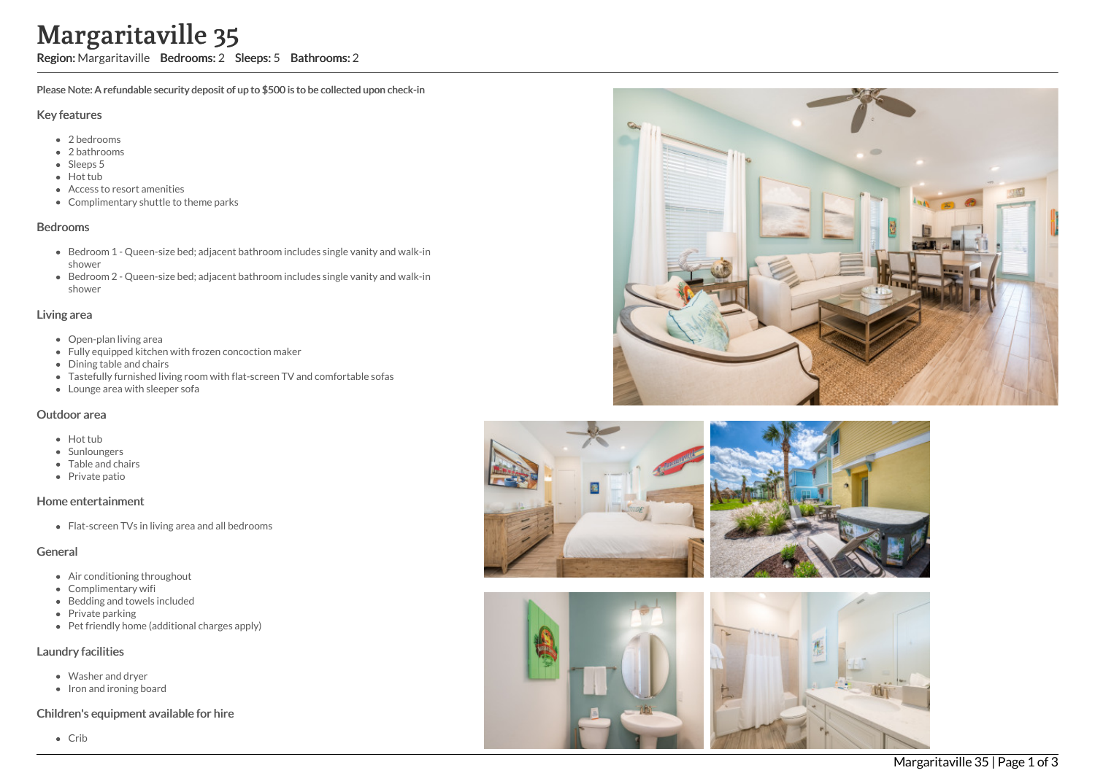# Margaritaville 35

Region: Margaritaville Bedrooms: 2 Sleeps: 5 Bathrooms: 2

Please Note: A refundable security deposit of up to \$500 is to be collected upon check-in

### Key features

- 2 b e d r o o m s
- 2 bathrooms
- Sleeps 5
- Hot tub
- Access to resort amenities
- Complimentary shuttle to theme parks

#### **Bedrooms**

- Bedroom 1 Queen-size bed; adjacent bathroom includes single vanity and walk-in s h o w e r
- Bedroom 2 Queen-size bed; adjacent bathroom includes single vanity and walk-in s h o w e r

#### Living area

- Open-plan living area
- Fully equipped kitchen with frozen concoction maker
- Dining table and chairs
- Tastefully furnished living room with flat-screen TV and comfortable sofas
- Lounge area with sleeper sofa

#### Outdoor area

- Hot tub
- **Sunloungers**
- T a ble a n d c h air s
- Private patio

## Home entertainment

Flat-screen TVs in living area and all bedrooms

## General

- Air conditioning throughout
- Complimentary wifi
- Bedding and towels in clu d e d
- Private parking
- Pet friendly home (additional charges apply)

## Laundry facilities

- Washer and dryer
- Iron and ironing board

## Children's equipment available for hire

C rib





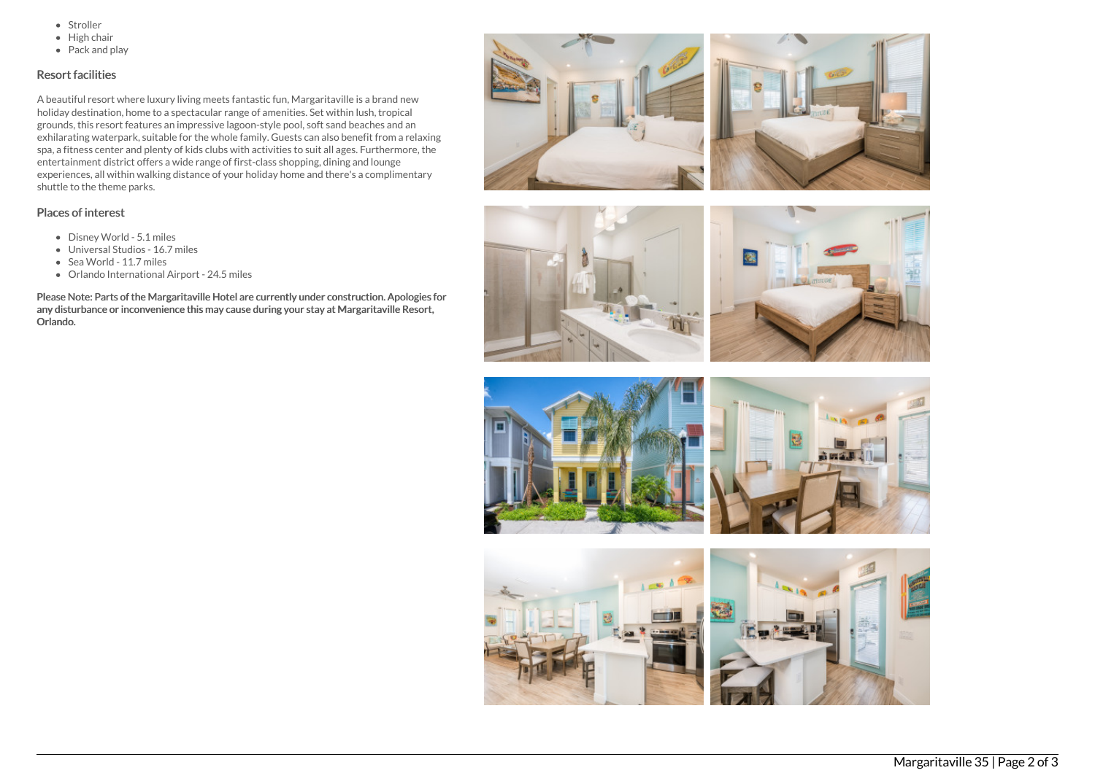- Stroller
- $\bullet$  High chair
- Pack and play

## Resort facilities

A beautiful resort where luxury living meets fantastic fun, Margaritaville is a brand new holiday destination, home to a spectacular range of amenities. Set within lush, tropical grounds, this resort features an impressive lagoon-style pool, soft sand beaches and an exhilarating waterpark, suitable for the whole family. Guests can also benefit from a relaxing spa, a fitness center and plenty of kids clubs with activities to suit all ages. Furthermore, the entertainment district offers a wide range of first-class shopping, dining and lounge experiences, all within walking distance of your holiday home and there's a complimentary shuttle to the theme parks.

### Places of interest

- Disney World 5.1 miles
- Universal Studios 16.7 miles
- Sea World 11.7 miles
- Orlando International Airport 24.5 miles

Please Note: Parts of the Margaritaville Hotel are currently under construction. Apologies for any disturbance or inconvenience this may cause during your stay at Margaritaville Resort, Orlando.